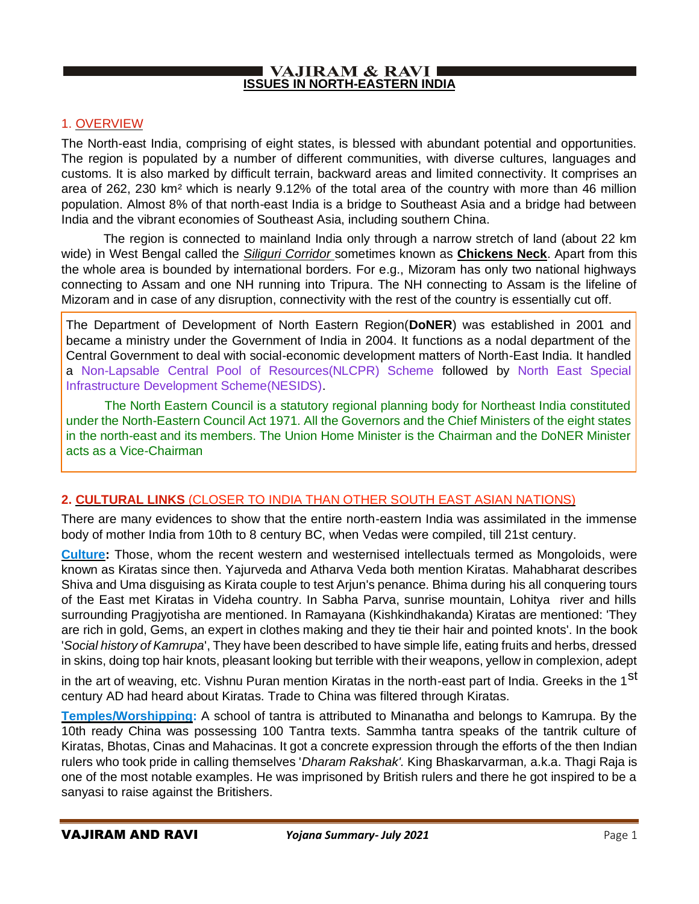#### **VAJIRAM & RAVI I ISSUES IN NORTH-EASTERN INDIA**

## 1. OVERVIEW

The North-east India, comprising of eight states, is blessed with abundant potential and opportunities. The region is populated by a number of different communities, with diverse cultures, languages and customs. It is also marked by difficult terrain, backward areas and limited connectivity. It comprises an area of 262, 230 km² which is nearly 9.12% of the total area of the country with more than 46 million population. Almost 8% of that north-east India is a bridge to Southeast Asia and a bridge had between India and the vibrant economies of Southeast Asia, including southern China.

 The region is connected to mainland India only through a narrow stretch of land (about 22 km wide) in West Bengal called the *Siliguri Corridor* sometimes known as **Chickens Neck**. Apart from this the whole area is bounded by international borders. For e.g., Mizoram has only two national highways connecting to Assam and one NH running into Tripura. The NH connecting to Assam is the lifeline of Mizoram and in case of any disruption, connectivity with the rest of the country is essentially cut off.

The Department of Development of North Eastern Region(**DoNER**) was established in 2001 and became a ministry under the Government of India in 2004. It functions as a nodal department of the Central Government to deal with social-economic development matters of North-East India. It handled a Non-Lapsable Central Pool of Resources(NLCPR) Scheme followed by North East Special Infrastructure Development Scheme(NESIDS).

 The North Eastern Council is a statutory regional planning body for Northeast India constituted under the North-Eastern Council Act 1971. All the Governors and the Chief Ministers of the eight states in the north-east and its members. The Union Home Minister is the Chairman and the DoNER Minister acts as a Vice-Chairman

## **2. CULTURAL LINKS** (CLOSER TO INDIA THAN OTHER SOUTH EAST ASIAN NATIONS)

There are many evidences to show that the entire north-eastern India was assimilated in the immense body of mother India from 10th to 8 century BC, when Vedas were compiled, till 21st century.

**Culture:** Those, whom the recent western and westernised intellectuals termed as Mongoloids, were known as Kiratas since then. Yajurveda and Atharva Veda both mention Kiratas. Mahabharat describes Shiva and Uma disguising as Kirata couple to test Arjun's penance. Bhima during his all conquering tours of the East met Kiratas in Videha country. In Sabha Parva, sunrise mountain, Lohitya river and hills surrounding Pragjyotisha are mentioned. In Ramayana (Kishkindhakanda) Kiratas are mentioned: 'They are rich in gold, Gems, an expert in clothes making and they tie their hair and pointed knots'. In the book '*Social history of Kamrupa*', They have been described to have simple life, eating fruits and herbs, dressed in skins, doing top hair knots, pleasant looking but terrible with their weapons, yellow in complexion, adept

in the art of weaving, etc. Vishnu Puran mention Kiratas in the north-east part of India. Greeks in the 1<sup>St</sup> century AD had heard about Kiratas. Trade to China was filtered through Kiratas.

**Temples/Worshipping:** A school of tantra is attributed to Minanatha and belongs to Kamrupa. By the 10th ready China was possessing 100 Tantra texts. Sammha tantra speaks of the tantrik culture of Kiratas, Bhotas, Cinas and Mahacinas. It got a concrete expression through the efforts of the then Indian rulers who took pride in calling themselves '*Dharam Rakshak'.* King Bhaskarvarman*,* a.k.a. Thagi Raja is one of the most notable examples. He was imprisoned by British rulers and there he got inspired to be a sanyasi to raise against the Britishers.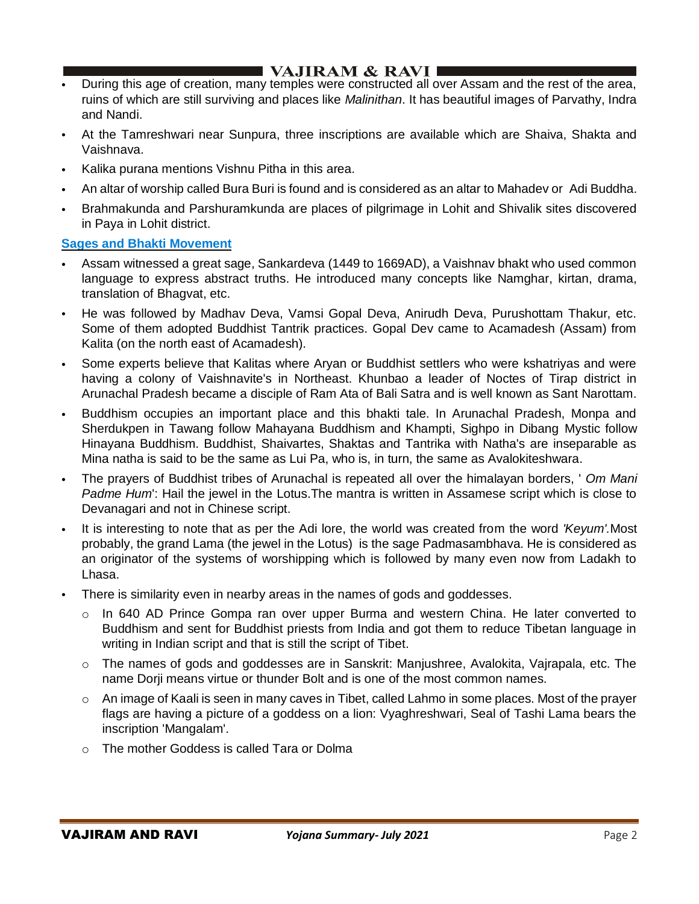## I VAJIRAM  $\&$  RAVI $\blacksquare$

- During this age of creation, many temples were constructed all over Assam and the rest of the area, ruins of which are still surviving and places like *Malinithan*. It has beautiful images of Parvathy, Indra and Nandi.
- At the Tamreshwari near Sunpura, three inscriptions are available which are Shaiva, Shakta and Vaishnava.
- Kalika purana mentions Vishnu Pitha in this area.
- An altar of worship called Bura Buri is found and is considered as an altar to Mahadev or Adi Buddha.
- Brahmakunda and Parshuramkunda are places of pilgrimage in Lohit and Shivalik sites discovered in Paya in Lohit district.

#### **Sages and Bhakti Movement**

- Assam witnessed a great sage, Sankardeva (1449 to 1669AD), a Vaishnav bhakt who used common language to express abstract truths. He introduced many concepts like Namghar, kirtan, drama, translation of Bhagvat, etc.
- He was followed by Madhav Deva, Vamsi Gopal Deva, Anirudh Deva, Purushottam Thakur, etc. Some of them adopted Buddhist Tantrik practices. Gopal Dev came to Acamadesh (Assam) from Kalita (on the north east of Acamadesh).
- Some experts believe that Kalitas where Aryan or Buddhist settlers who were kshatriyas and were having a colony of Vaishnavite's in Northeast. Khunbao a leader of Noctes of Tirap district in Arunachal Pradesh became a disciple of Ram Ata of Bali Satra and is well known as Sant Narottam.
- Buddhism occupies an important place and this bhakti tale. In Arunachal Pradesh, Monpa and Sherdukpen in Tawang follow Mahayana Buddhism and Khampti, Sighpo in Dibang Mystic follow Hinayana Buddhism. Buddhist, Shaivartes, Shaktas and Tantrika with Natha's are inseparable as Mina natha is said to be the same as Lui Pa, who is, in turn, the same as Avalokiteshwara.
- The prayers of Buddhist tribes of Arunachal is repeated all over the himalayan borders, ' *Om Mani Padme Hum*': Hail the jewel in the Lotus.The mantra is written in Assamese script which is close to Devanagari and not in Chinese script.
- It is interesting to note that as per the Adi lore, the world was created from the word *'Keyum'.*Most probably, the grand Lama (the jewel in the Lotus) is the sage Padmasambhava. He is considered as an originator of the systems of worshipping which is followed by many even now from Ladakh to Lhasa.
- There is similarity even in nearby areas in the names of gods and goddesses.
	- $\circ$  In 640 AD Prince Gompa ran over upper Burma and western China. He later converted to Buddhism and sent for Buddhist priests from India and got them to reduce Tibetan language in writing in Indian script and that is still the script of Tibet.
	- $\circ$  The names of gods and goddesses are in Sanskrit: Manjushree, Avalokita, Vajrapala, etc. The name Dorji means virtue or thunder Bolt and is one of the most common names.
	- $\circ$  An image of Kaali is seen in many caves in Tibet, called Lahmo in some places. Most of the prayer flags are having a picture of a goddess on a lion: Vyaghreshwari, Seal of Tashi Lama bears the inscription 'Mangalam'.
	- o The mother Goddess is called Tara or Dolma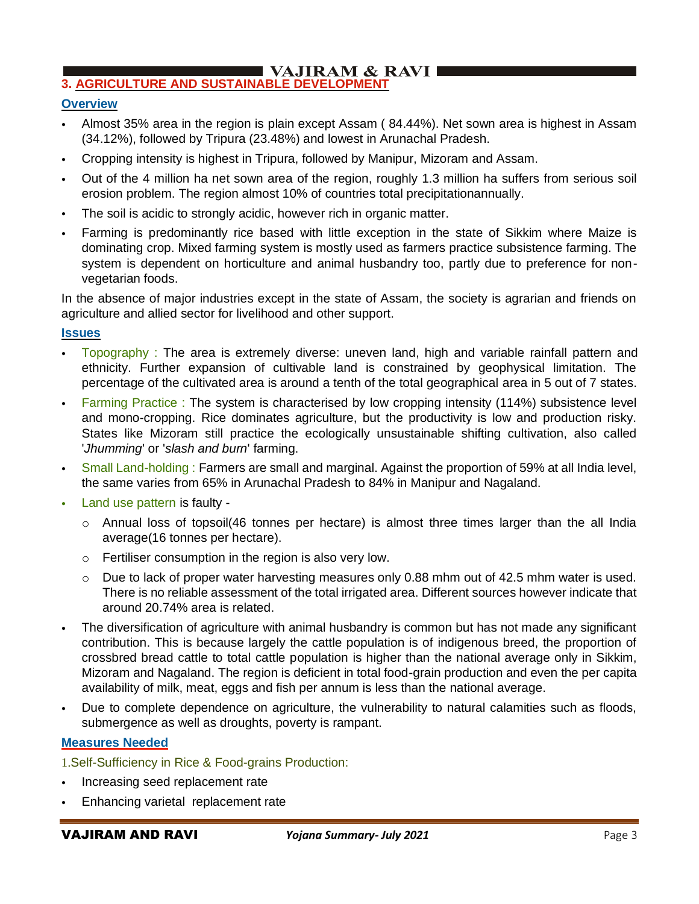#### I VAJIRAM & RAVI I **3. AGRICULTURE AND SUSTAINABLE DEVELOPMENT**

## **Overview**

- Almost 35% area in the region is plain except Assam ( 84.44%). Net sown area is highest in Assam (34.12%), followed by Tripura (23.48%) and lowest in Arunachal Pradesh.
- Cropping intensity is highest in Tripura, followed by Manipur, Mizoram and Assam.
- Out of the 4 million ha net sown area of the region, roughly 1.3 million ha suffers from serious soil erosion problem. The region almost 10% of countries total precipitationannually.
- The soil is acidic to strongly acidic, however rich in organic matter.
- Farming is predominantly rice based with little exception in the state of Sikkim where Maize is dominating crop. Mixed farming system is mostly used as farmers practice subsistence farming. The system is dependent on horticulture and animal husbandry too, partly due to preference for nonvegetarian foods.

In the absence of major industries except in the state of Assam, the society is agrarian and friends on agriculture and allied sector for livelihood and other support.

### **Issues**

- Topography : The area is extremely diverse: uneven land, high and variable rainfall pattern and ethnicity. Further expansion of cultivable land is constrained by geophysical limitation. The percentage of the cultivated area is around a tenth of the total geographical area in 5 out of 7 states.
- Farming Practice : The system is characterised by low cropping intensity (114%) subsistence level and mono-cropping. Rice dominates agriculture, but the productivity is low and production risky. States like Mizoram still practice the ecologically unsustainable shifting cultivation, also called '*Jhumming*' or '*slash and burn*' farming.
- Small Land-holding : Farmers are small and marginal. Against the proportion of 59% at all India level, the same varies from 65% in Arunachal Pradesh to 84% in Manipur and Nagaland.
- Land use pattern is faulty
	- $\circ$  Annual loss of topsoil(46 tonnes per hectare) is almost three times larger than the all India average(16 tonnes per hectare).
	- o Fertiliser consumption in the region is also very low.
	- $\circ$  Due to lack of proper water harvesting measures only 0.88 mhm out of 42.5 mhm water is used. There is no reliable assessment of the total irrigated area. Different sources however indicate that around 20.74% area is related.
- The diversification of agriculture with animal husbandry is common but has not made any significant contribution. This is because largely the cattle population is of indigenous breed, the proportion of crossbred bread cattle to total cattle population is higher than the national average only in Sikkim, Mizoram and Nagaland. The region is deficient in total food-grain production and even the per capita availability of milk, meat, eggs and fish per annum is less than the national average.
- Due to complete dependence on agriculture, the vulnerability to natural calamities such as floods, submergence as well as droughts, poverty is rampant.

## **Measures Needed**

1.Self-Sufficiency in Rice & Food-grains Production:

- Increasing seed replacement rate
- Enhancing varietal replacement rate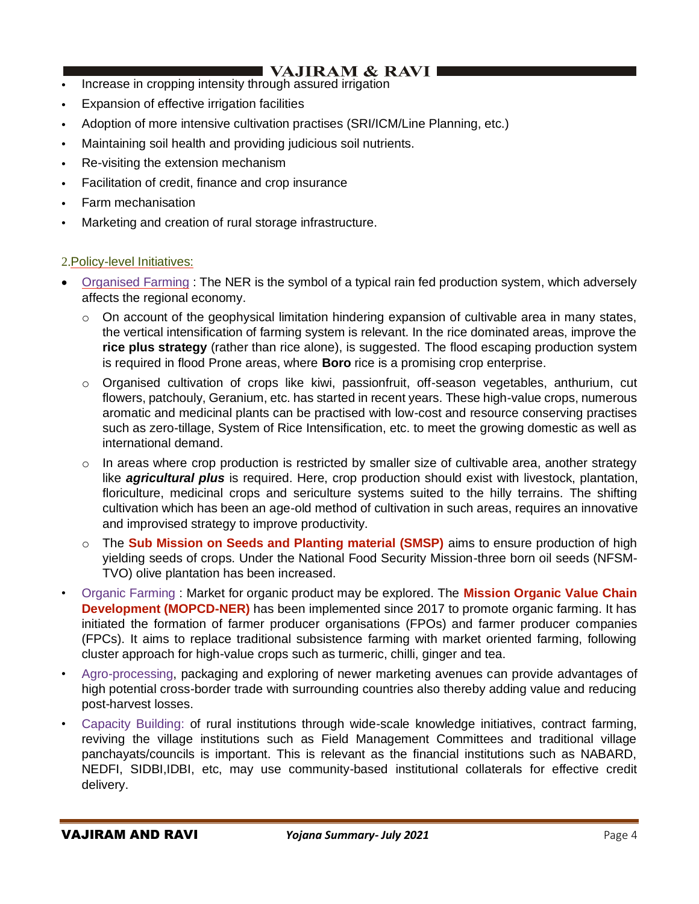- Increase in cropping intensity through assured irrigation
- Expansion of effective irrigation facilities
- Adoption of more intensive cultivation practises (SRI/ICM/Line Planning, etc.)
- Maintaining soil health and providing judicious soil nutrients.
- Re-visiting the extension mechanism
- Facilitation of credit, finance and crop insurance
- Farm mechanisation
- Marketing and creation of rural storage infrastructure.

## 2.Policy-level Initiatives:

- Organised Farming : The NER is the symbol of a typical rain fed production system, which adversely affects the regional economy.
	- $\circ$  On account of the geophysical limitation hindering expansion of cultivable area in many states, the vertical intensification of farming system is relevant. In the rice dominated areas, improve the **rice plus strategy** (rather than rice alone), is suggested. The flood escaping production system is required in flood Prone areas, where **Boro** rice is a promising crop enterprise.
	- o Organised cultivation of crops like kiwi, passionfruit, off-season vegetables, anthurium, cut flowers, patchouly, Geranium, etc. has started in recent years. These high-value crops, numerous aromatic and medicinal plants can be practised with low-cost and resource conserving practises such as zero-tillage, System of Rice Intensification, etc. to meet the growing domestic as well as international demand.
	- $\circ$  In areas where crop production is restricted by smaller size of cultivable area, another strategy like *agricultural plus* is required. Here, crop production should exist with livestock, plantation, floriculture, medicinal crops and sericulture systems suited to the hilly terrains. The shifting cultivation which has been an age-old method of cultivation in such areas, requires an innovative and improvised strategy to improve productivity.
	- o The **Sub Mission on Seeds and Planting material (SMSP)** aims to ensure production of high yielding seeds of crops. Under the National Food Security Mission-three born oil seeds (NFSM-TVO) olive plantation has been increased.
- Organic Farming : Market for organic product may be explored. The **Mission Organic Value Chain Development (MOPCD-NER)** has been implemented since 2017 to promote organic farming. It has initiated the formation of farmer producer organisations (FPOs) and farmer producer companies (FPCs). It aims to replace traditional subsistence farming with market oriented farming, following cluster approach for high-value crops such as turmeric, chilli, ginger and tea.
- Agro-processing, packaging and exploring of newer marketing avenues can provide advantages of high potential cross-border trade with surrounding countries also thereby adding value and reducing post-harvest losses.
- Capacity Building: of rural institutions through wide-scale knowledge initiatives, contract farming, reviving the village institutions such as Field Management Committees and traditional village panchayats/councils is important. This is relevant as the financial institutions such as NABARD, NEDFI, SIDBI,IDBI, etc, may use community-based institutional collaterals for effective credit delivery.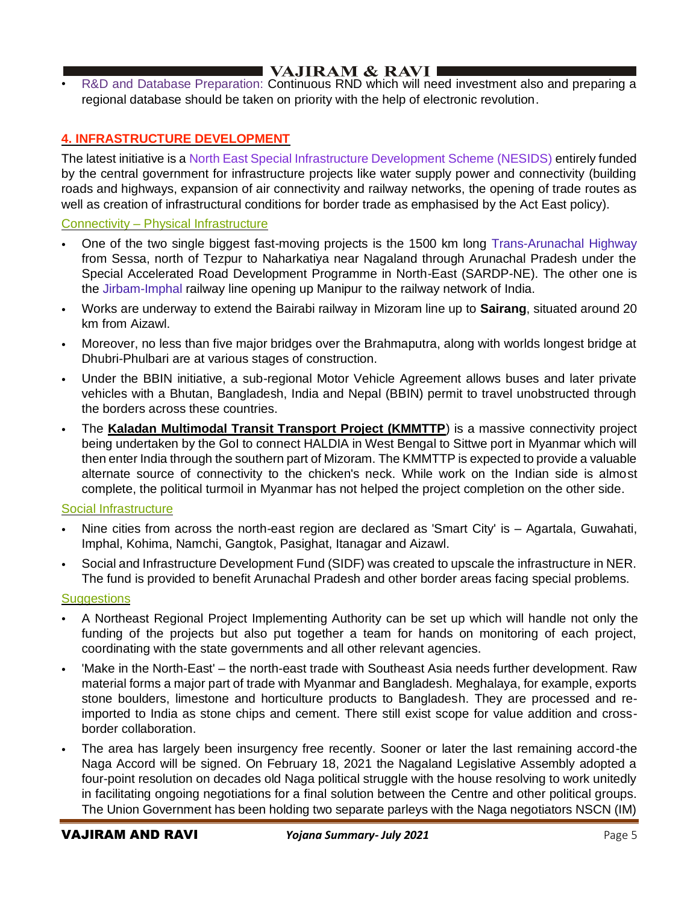# VAJIRAM & RAVI

• R&D and Database Preparation: Continuous RND which will need investment also and preparing a regional database should be taken on priority with the help of electronic revolution.

## **4. INFRASTRUCTURE DEVELOPMENT**

The latest initiative is a North East Special Infrastructure Development Scheme (NESIDS) entirely funded by the central government for infrastructure projects like water supply power and connectivity (building roads and highways, expansion of air connectivity and railway networks, the opening of trade routes as well as creation of infrastructural conditions for border trade as emphasised by the Act East policy).

## Connectivity – Physical Infrastructure

- One of the two single biggest fast-moving projects is the 1500 km long Trans-Arunachal Highway from Sessa, north of Tezpur to Naharkatiya near Nagaland through Arunachal Pradesh under the Special Accelerated Road Development Programme in North-East (SARDP-NE). The other one is the Jirbam-Imphal railway line opening up Manipur to the railway network of India.
- Works are underway to extend the Bairabi railway in Mizoram line up to **Sairang**, situated around 20 km from Aizawl.
- Moreover, no less than five major bridges over the Brahmaputra, along with worlds longest bridge at Dhubri-Phulbari are at various stages of construction.
- Under the BBIN initiative, a sub-regional Motor Vehicle Agreement allows buses and later private vehicles with a Bhutan, Bangladesh, India and Nepal (BBIN) permit to travel unobstructed through the borders across these countries.
- The **Kaladan Multimodal Transit Transport Project (KMMTTP**) is a massive connectivity project being undertaken by the GoI to connect HALDIA in West Bengal to Sittwe port in Myanmar which will then enter India through the southern part of Mizoram. The KMMTTP is expected to provide a valuable alternate source of connectivity to the chicken's neck. While work on the Indian side is almost complete, the political turmoil in Myanmar has not helped the project completion on the other side.

## Social Infrastructure

- Nine cities from across the north-east region are declared as 'Smart City' is Agartala, Guwahati, Imphal, Kohima, Namchi, Gangtok, Pasighat, Itanagar and Aizawl.
- Social and Infrastructure Development Fund (SIDF) was created to upscale the infrastructure in NER. The fund is provided to benefit Arunachal Pradesh and other border areas facing special problems.

## **Suggestions**

- A Northeast Regional Project Implementing Authority can be set up which will handle not only the funding of the projects but also put together a team for hands on monitoring of each project, coordinating with the state governments and all other relevant agencies.
- 'Make in the North-East' the north-east trade with Southeast Asia needs further development. Raw material forms a major part of trade with Myanmar and Bangladesh. Meghalaya, for example, exports stone boulders, limestone and horticulture products to Bangladesh. They are processed and reimported to India as stone chips and cement. There still exist scope for value addition and crossborder collaboration.
- The area has largely been insurgency free recently. Sooner or later the last remaining accord-the Naga Accord will be signed. On February 18, 2021 the Nagaland Legislative Assembly adopted a four-point resolution on decades old Naga political struggle with the house resolving to work unitedly in facilitating ongoing negotiations for a final solution between the Centre and other political groups. The Union Government has been holding two separate parleys with the Naga negotiators NSCN (IM)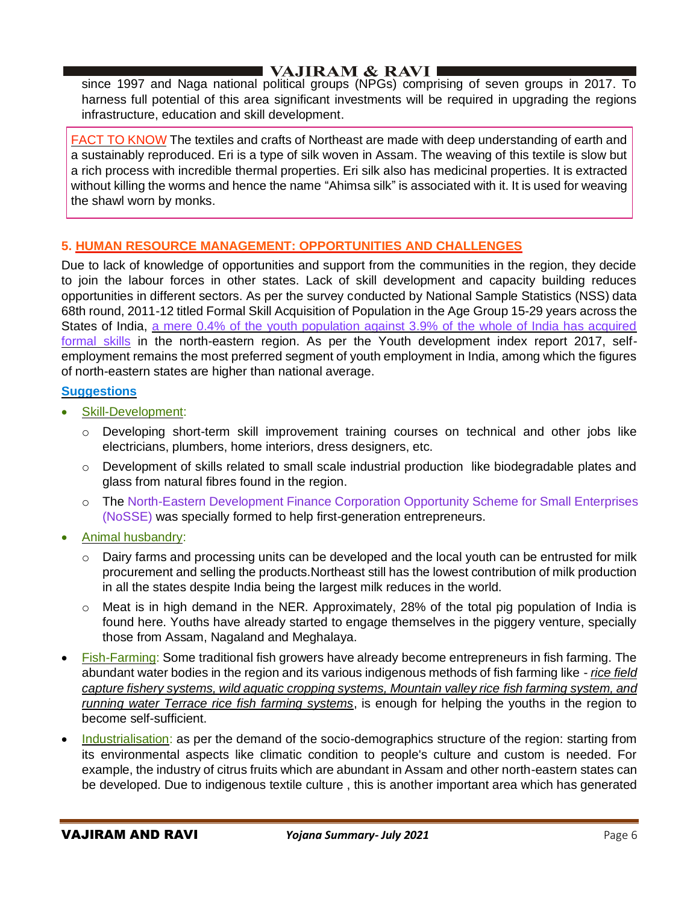since 1997 and Naga national political groups (NPGs) comprising of seven groups in 2017. To harness full potential of this area significant investments will be required in upgrading the regions infrastructure, education and skill development.

FACT TO KNOW The textiles and crafts of Northeast are made with deep understanding of earth and a sustainably reproduced. Eri is a type of silk woven in Assam. The weaving of this textile is slow but a rich process with incredible thermal properties. Eri silk also has medicinal properties. It is extracted without killing the worms and hence the name "Ahimsa silk" is associated with it. It is used for weaving the shawl worn by monks.

## **5. HUMAN RESOURCE MANAGEMENT: OPPORTUNITIES AND CHALLENGES**

Due to lack of knowledge of opportunities and support from the communities in the region, they decide to join the labour forces in other states. Lack of skill development and capacity building reduces opportunities in different sectors. As per the survey conducted by National Sample Statistics (NSS) data 68th round, 2011-12 titled Formal Skill Acquisition of Population in the Age Group 15-29 years across the States of India, a mere 0.4% of the youth population against 3.9% of the whole of India has acquired formal skills in the north-eastern region. As per the Youth development index report 2017, selfemployment remains the most preferred segment of youth employment in India, among which the figures of north-eastern states are higher than national average.

## **Suggestions**

- Skill-Development:
	- o Developing short-term skill improvement training courses on technical and other jobs like electricians, plumbers, home interiors, dress designers, etc.
	- $\circ$  Development of skills related to small scale industrial production like biodegradable plates and glass from natural fibres found in the region.
	- o The North-Eastern Development Finance Corporation Opportunity Scheme for Small Enterprises (NoSSE) was specially formed to help first-generation entrepreneurs.
- Animal husbandry:
	- $\circ$  Dairy farms and processing units can be developed and the local youth can be entrusted for milk procurement and selling the products.Northeast still has the lowest contribution of milk production in all the states despite India being the largest milk reduces in the world.
	- o Meat is in high demand in the NER. Approximately, 28% of the total pig population of India is found here. Youths have already started to engage themselves in the piggery venture, specially those from Assam, Nagaland and Meghalaya.
- Fish-Farming: Some traditional fish growers have already become entrepreneurs in fish farming. The abundant water bodies in the region and its various indigenous methods of fish farming like - *rice field capture fishery systems, wild aquatic cropping systems, Mountain valley rice fish farming system, and running water Terrace rice fish farming systems*, is enough for helping the youths in the region to become self-sufficient.
- Industrialisation: as per the demand of the socio-demographics structure of the region: starting from its environmental aspects like climatic condition to people's culture and custom is needed. For example, the industry of citrus fruits which are abundant in Assam and other north-eastern states can be developed. Due to indigenous textile culture , this is another important area which has generated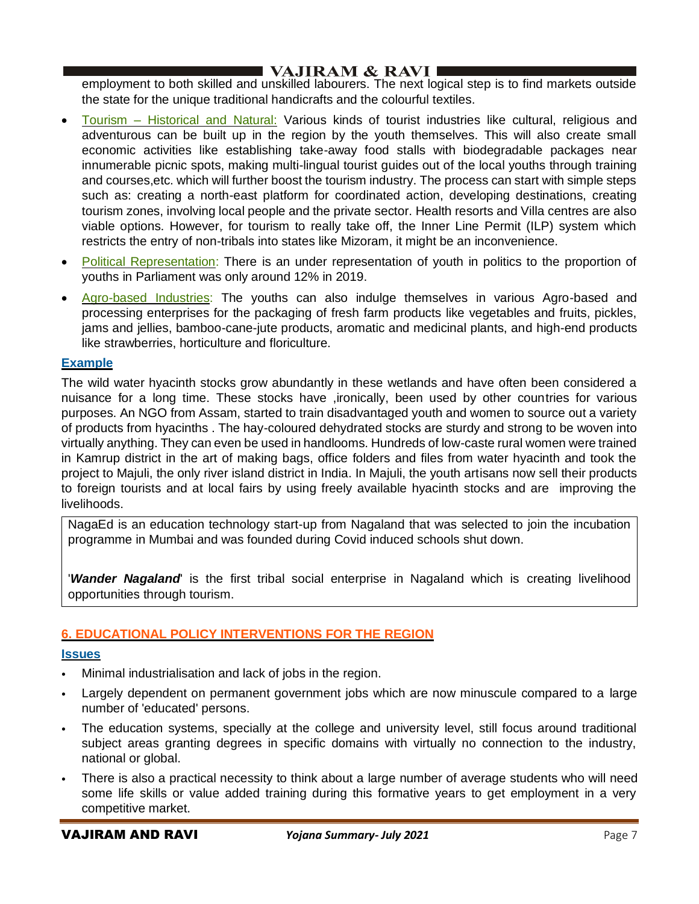employment to both skilled and unskilled labourers. The next logical step is to find markets outside the state for the unique traditional handicrafts and the colourful textiles.

- Tourism Historical and Natural: Various kinds of tourist industries like cultural, religious and adventurous can be built up in the region by the youth themselves. This will also create small economic activities like establishing take-away food stalls with biodegradable packages near innumerable picnic spots, making multi-lingual tourist guides out of the local youths through training and courses,etc. which will further boost the tourism industry. The process can start with simple steps such as: creating a north-east platform for coordinated action, developing destinations, creating tourism zones, involving local people and the private sector. Health resorts and Villa centres are also viable options. However, for tourism to really take off, the Inner Line Permit (ILP) system which restricts the entry of non-tribals into states like Mizoram, it might be an inconvenience.
- Political Representation: There is an under representation of youth in politics to the proportion of youths in Parliament was only around 12% in 2019.
- Agro-based Industries: The youths can also indulge themselves in various Agro-based and processing enterprises for the packaging of fresh farm products like vegetables and fruits, pickles, jams and jellies, bamboo-cane-jute products, aromatic and medicinal plants, and high-end products like strawberries, horticulture and floriculture.

## **Example**

The wild water hyacinth stocks grow abundantly in these wetlands and have often been considered a nuisance for a long time. These stocks have ,ironically, been used by other countries for various purposes. An NGO from Assam, started to train disadvantaged youth and women to source out a variety of products from hyacinths . The hay-coloured dehydrated stocks are sturdy and strong to be woven into virtually anything. They can even be used in handlooms. Hundreds of low-caste rural women were trained in Kamrup district in the art of making bags, office folders and files from water hyacinth and took the project to Majuli, the only river island district in India. In Majuli, the youth artisans now sell their products to foreign tourists and at local fairs by using freely available hyacinth stocks and are improving the livelihoods.

NagaEd is an education technology start-up from Nagaland that was selected to join the incubation programme in Mumbai and was founded during Covid induced schools shut down.

'*Wander Nagaland*' is the first tribal social enterprise in Nagaland which is creating livelihood opportunities through tourism.

## **6. EDUCATIONAL POLICY INTERVENTIONS FOR THE REGION**

## **Issues**

- Minimal industrialisation and lack of jobs in the region.
- Largely dependent on permanent government jobs which are now minuscule compared to a large number of 'educated' persons.
- The education systems, specially at the college and university level, still focus around traditional subject areas granting degrees in specific domains with virtually no connection to the industry, national or global.
- There is also a practical necessity to think about a large number of average students who will need some life skills or value added training during this formative years to get employment in a very competitive market.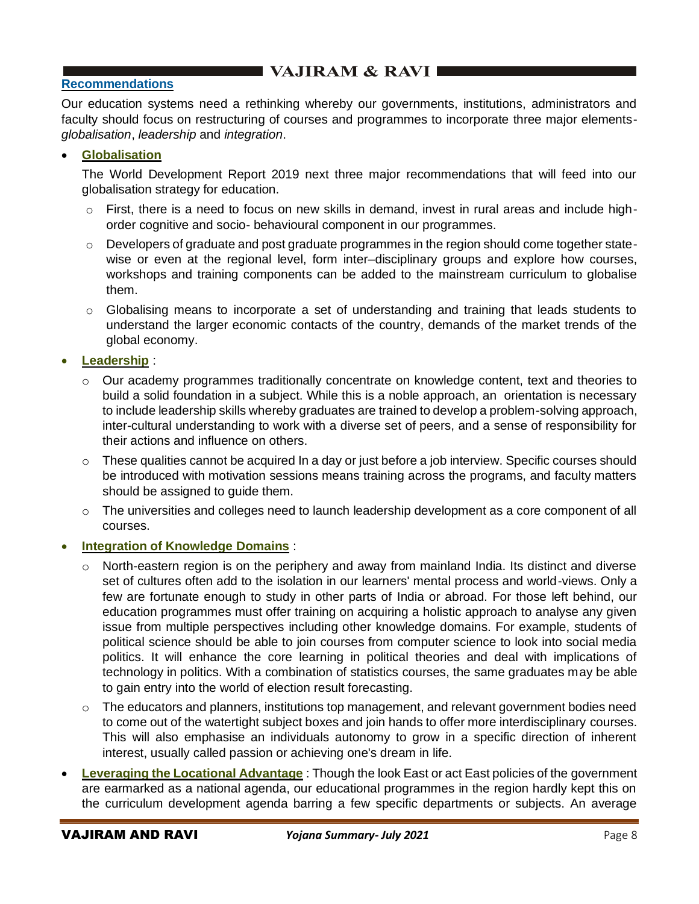# **EXAMPLE VAJIRAM & RAVI LE**

## **Recommendations**

Our education systems need a rethinking whereby our governments, institutions, administrators and faculty should focus on restructuring of courses and programmes to incorporate three major elements*globalisation*, *leadership* and *integration*.

## • **Globalisation**

The World Development Report 2019 next three major recommendations that will feed into our globalisation strategy for education.

- $\circ$  First, there is a need to focus on new skills in demand, invest in rural areas and include highorder cognitive and socio- behavioural component in our programmes.
- o Developers of graduate and post graduate programmes in the region should come together statewise or even at the regional level, form inter–disciplinary groups and explore how courses, workshops and training components can be added to the mainstream curriculum to globalise them.
- $\circ$  Globalising means to incorporate a set of understanding and training that leads students to understand the larger economic contacts of the country, demands of the market trends of the global economy.

• **Leadership** :

- o Our academy programmes traditionally concentrate on knowledge content, text and theories to build a solid foundation in a subject. While this is a noble approach, an orientation is necessary to include leadership skills whereby graduates are trained to develop a problem-solving approach, inter-cultural understanding to work with a diverse set of peers, and a sense of responsibility for their actions and influence on others.
- $\circ$  These qualities cannot be acquired In a day or just before a job interview. Specific courses should be introduced with motivation sessions means training across the programs, and faculty matters should be assigned to guide them.
- $\circ$  The universities and colleges need to launch leadership development as a core component of all courses.
- **Integration of Knowledge Domains:** 
	- North-eastern region is on the periphery and away from mainland India. Its distinct and diverse set of cultures often add to the isolation in our learners' mental process and world-views. Only a few are fortunate enough to study in other parts of India or abroad. For those left behind, our education programmes must offer training on acquiring a holistic approach to analyse any given issue from multiple perspectives including other knowledge domains. For example, students of political science should be able to join courses from computer science to look into social media politics. It will enhance the core learning in political theories and deal with implications of technology in politics. With a combination of statistics courses, the same graduates may be able to gain entry into the world of election result forecasting.
	- $\circ$  The educators and planners, institutions top management, and relevant government bodies need to come out of the watertight subject boxes and join hands to offer more interdisciplinary courses. This will also emphasise an individuals autonomy to grow in a specific direction of inherent interest, usually called passion or achieving one's dream in life.
- **Leveraging the Locational Advantage** : Though the look East or act East policies of the government are earmarked as a national agenda, our educational programmes in the region hardly kept this on the curriculum development agenda barring a few specific departments or subjects. An average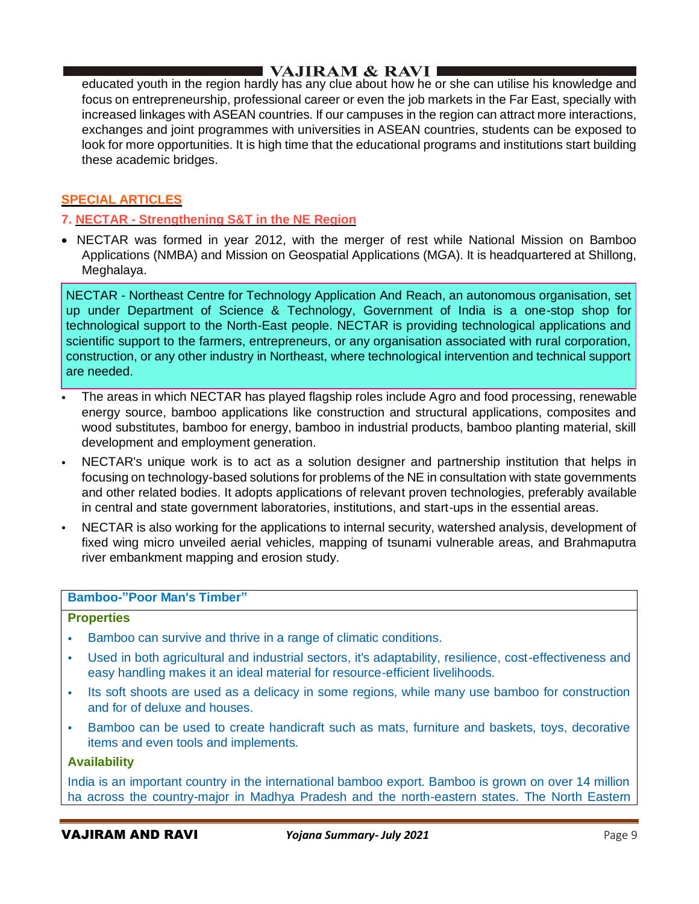educated youth in the region hardly has any clue about how he or she can utilise his knowledge and focus on entrepreneurship, professional career or even the job markets in the Far East, specially with increased linkages with ASEAN countries. If our campuses in the region can attract more interactions, exchanges and joint programmes with universities in ASEAN countries, students can be exposed to look for more opportunities. It is high time that the educational programs and institutions start building these academic bridges.

## **SPECIAL ARTICLES**

## **7. NECTAR - Strengthening S&T in the NE Region**

• NECTAR was formed in year 2012, with the merger of rest while National Mission on Bamboo Applications (NMBA) and Mission on Geospatial Applications (MGA). It is headquartered at Shillong, Meghalaya.

NECTAR - Northeast Centre for Technology Application And Reach, an autonomous organisation, set up under Department of Science & Technology, Government of India is a one-stop shop for technological support to the North-East people. NECTAR is providing technological applications and scientific support to the farmers, entrepreneurs, or any organisation associated with rural corporation, construction, or any other industry in Northeast, where technological intervention and technical support are needed.

- The areas in which NECTAR has played flagship roles include Agro and food processing, renewable energy source, bamboo applications like construction and structural applications, composites and wood substitutes, bamboo for energy, bamboo in industrial products, bamboo planting material, skill development and employment generation.
- NECTAR's unique work is to act as a solution designer and partnership institution that helps in focusing on technology-based solutions for problems of the NE in consultation with state governments and other related bodies. It adopts applications of relevant proven technologies, preferably available in central and state government laboratories, institutions, and start-ups in the essential areas.
- NECTAR is also working for the applications to internal security, watershed analysis, development of fixed wing micro unveiled aerial vehicles, mapping of tsunami vulnerable areas, and Brahmaputra river embankment mapping and erosion study.

## **Bamboo-"Poor Man's Timber"**

#### **Properties**

- Bamboo can survive and thrive in a range of climatic conditions.
- Used in both agricultural and industrial sectors, it's adaptability, resilience, cost-effectiveness and easy handling makes it an ideal material for resource-efficient livelihoods.
- Its soft shoots are used as a delicacy in some regions, while many use bamboo for construction and for of deluxe and houses.
- Bamboo can be used to create handicraft such as mats, furniture and baskets, toys, decorative items and even tools and implements.

#### **Availability**

India is an important country in the international bamboo export. Bamboo is grown on over 14 million ha across the country-major in Madhya Pradesh and the north-eastern states. The North Eastern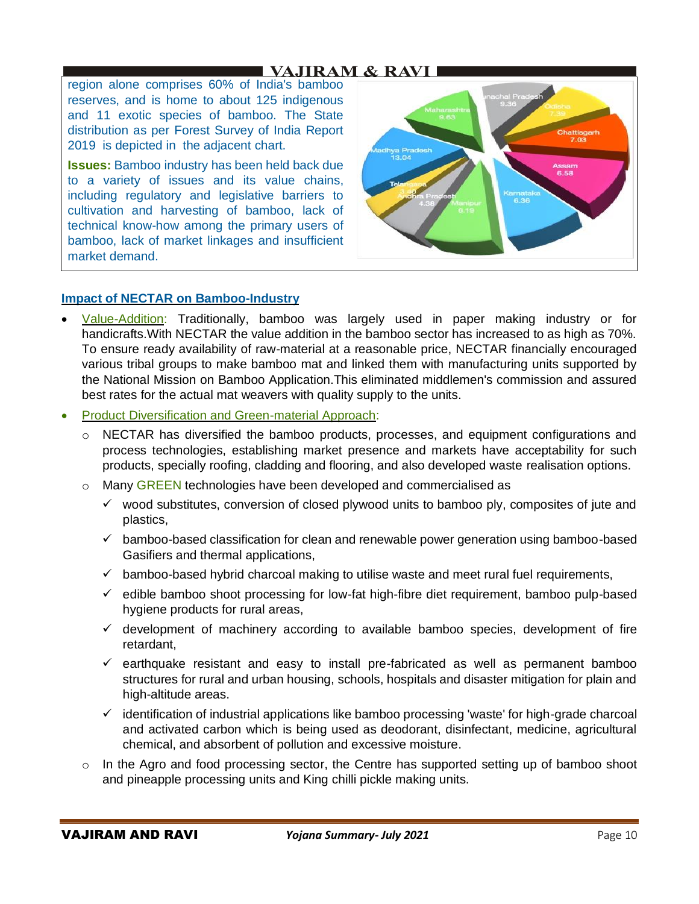region alone comprises 60% of India's bamboo reserves, and is home to about 125 indigenous and 11 exotic species of bamboo. The State distribution as per Forest Survey of India Report 2019 is depicted in the adjacent chart.

**Issues:** Bamboo industry has been held back due to a variety of issues and its value chains, including regulatory and legislative barriers to cultivation and harvesting of bamboo, lack of technical know-how among the primary users of bamboo, lack of market linkages and insufficient market demand.



### **Impact of NECTAR on Bamboo-Industry**

- Value-Addition: Traditionally, bamboo was largely used in paper making industry or for handicrafts.With NECTAR the value addition in the bamboo sector has increased to as high as 70%. To ensure ready availability of raw-material at a reasonable price, NECTAR financially encouraged various tribal groups to make bamboo mat and linked them with manufacturing units supported by the National Mission on Bamboo Application.This eliminated middlemen's commission and assured best rates for the actual mat weavers with quality supply to the units.
- Product Diversification and Green-material Approach:
	- o NECTAR has diversified the bamboo products, processes, and equipment configurations and process technologies, establishing market presence and markets have acceptability for such products, specially roofing, cladding and flooring, and also developed waste realisation options.
	- $\circ$  Many GREEN technologies have been developed and commercialised as
		- $\checkmark$  wood substitutes, conversion of closed plywood units to bamboo ply, composites of jute and plastics,
		- $\checkmark$  bamboo-based classification for clean and renewable power generation using bamboo-based Gasifiers and thermal applications,
		- $\checkmark$  bamboo-based hybrid charcoal making to utilise waste and meet rural fuel requirements,
		- $\checkmark$  edible bamboo shoot processing for low-fat high-fibre diet requirement, bamboo pulp-based hygiene products for rural areas,
		- $\checkmark$  development of machinery according to available bamboo species, development of fire retardant,
		- $\checkmark$  earthquake resistant and easy to install pre-fabricated as well as permanent bamboo structures for rural and urban housing, schools, hospitals and disaster mitigation for plain and high-altitude areas.
		- $\checkmark$  identification of industrial applications like bamboo processing 'waste' for high-grade charcoal and activated carbon which is being used as deodorant, disinfectant, medicine, agricultural chemical, and absorbent of pollution and excessive moisture.
	- $\circ$  In the Agro and food processing sector, the Centre has supported setting up of bamboo shoot and pineapple processing units and King chilli pickle making units.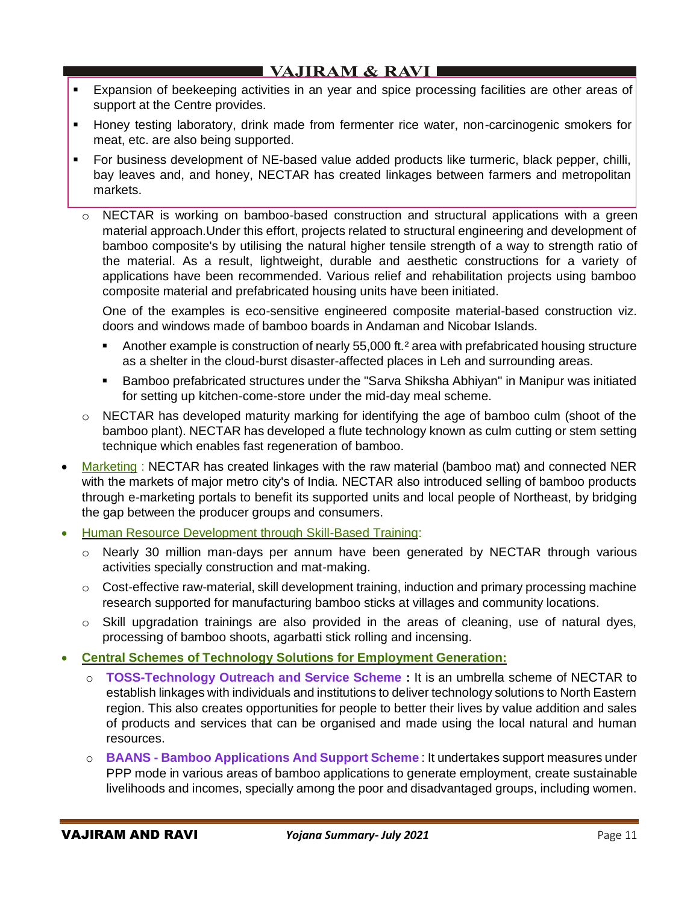- **Expansion of beekeeping activities in an year and spice processing facilities are other areas of** support at the Centre provides.
- Honey testing laboratory, drink made from fermenter rice water, non-carcinogenic smokers for meat, etc. are also being supported.
- For business development of NE-based value added products like turmeric, black pepper, chilli, bay leaves and, and honey, NECTAR has created linkages between farmers and metropolitan markets.
	- o NECTAR is working on bamboo-based construction and structural applications with a green material approach.Under this effort, projects related to structural engineering and development of bamboo composite's by utilising the natural higher tensile strength of a way to strength ratio of the material. As a result, lightweight, durable and aesthetic constructions for a variety of applications have been recommended. Various relief and rehabilitation projects using bamboo composite material and prefabricated housing units have been initiated.

One of the examples is eco-sensitive engineered composite material-based construction viz. doors and windows made of bamboo boards in Andaman and Nicobar Islands.

- Another example is construction of nearly 55,000 ft.<sup>2</sup> area with prefabricated housing structure as a shelter in the cloud-burst disaster-affected places in Leh and surrounding areas.
- Bamboo prefabricated structures under the "Sarva Shiksha Abhiyan" in Manipur was initiated for setting up kitchen-come-store under the mid-day meal scheme.
- o NECTAR has developed maturity marking for identifying the age of bamboo culm (shoot of the bamboo plant). NECTAR has developed a flute technology known as culm cutting or stem setting technique which enables fast regeneration of bamboo.
- Marketing : NECTAR has created linkages with the raw material (bamboo mat) and connected NER with the markets of major metro city's of India. NECTAR also introduced selling of bamboo products through e-marketing portals to benefit its supported units and local people of Northeast, by bridging the gap between the producer groups and consumers.
- Human Resource Development through Skill-Based Training:
	- o Nearly 30 million man-days per annum have been generated by NECTAR through various activities specially construction and mat-making.
	- $\circ$  Cost-effective raw-material, skill development training, induction and primary processing machine research supported for manufacturing bamboo sticks at villages and community locations.
	- o Skill upgradation trainings are also provided in the areas of cleaning, use of natural dyes, processing of bamboo shoots, agarbatti stick rolling and incensing.
- **Central Schemes of Technology Solutions for Employment Generation:**
	- o **TOSS-Technology Outreach and Service Scheme :** It is an umbrella scheme of NECTAR to establish linkages with individuals and institutions to deliver technology solutions to North Eastern region. This also creates opportunities for people to better their lives by value addition and sales of products and services that can be organised and made using the local natural and human resources.
	- o **BAANS - Bamboo Applications And Support Scheme** : It undertakes support measures under PPP mode in various areas of bamboo applications to generate employment, create sustainable livelihoods and incomes, specially among the poor and disadvantaged groups, including women.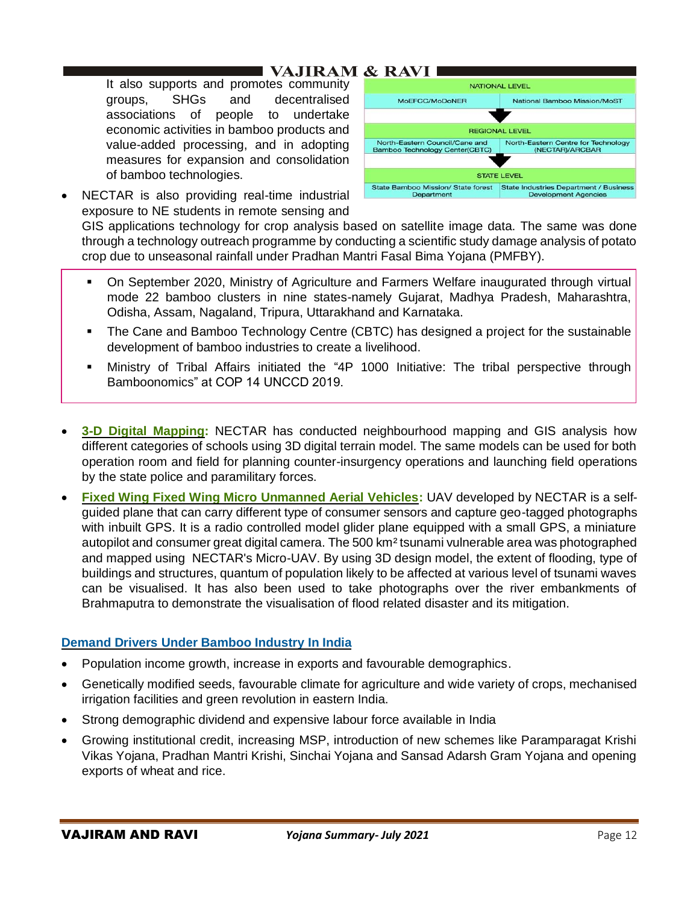It also supports and promotes community groups, SHGs and decentralised associations of people to undertake economic activities in bamboo products and value-added processing, and in adopting measures for expansion and consolidation of bamboo technologies.





GIS applications technology for crop analysis based on satellite image data. The same was done through a technology outreach programme by conducting a scientific study damage analysis of potato crop due to unseasonal rainfall under Pradhan Mantri Fasal Bima Yojana (PMFBY).

- On September 2020, Ministry of Agriculture and Farmers Welfare inaugurated through virtual mode 22 bamboo clusters in nine states-namely Gujarat, Madhya Pradesh, Maharashtra, Odisha, Assam, Nagaland, Tripura, Uttarakhand and Karnataka.
- The Cane and Bamboo Technology Centre (CBTC) has designed a project for the sustainable development of bamboo industries to create a livelihood.
- **■** Ministry of Tribal Affairs initiated the "4P 1000 Initiative: The tribal perspective through Bamboonomics" at COP 14 UNCCD 2019.
- **3-D Digital Mapping:** NECTAR has conducted neighbourhood mapping and GIS analysis how different categories of schools using 3D digital terrain model. The same models can be used for both operation room and field for planning counter-insurgency operations and launching field operations by the state police and paramilitary forces.
- **Fixed Wing Fixed Wing Micro Unmanned Aerial Vehicles:** UAV developed by NECTAR is a selfguided plane that can carry different type of consumer sensors and capture geo-tagged photographs with inbuilt GPS. It is a radio controlled model glider plane equipped with a small GPS, a miniature autopilot and consumer great digital camera. The 500 km² tsunami vulnerable area was photographed and mapped using NECTAR's Micro-UAV. By using 3D design model, the extent of flooding, type of buildings and structures, quantum of population likely to be affected at various level of tsunami waves can be visualised. It has also been used to take photographs over the river embankments of Brahmaputra to demonstrate the visualisation of flood related disaster and its mitigation.

## **Demand Drivers Under Bamboo Industry In India**

- Population income growth, increase in exports and favourable demographics.
- Genetically modified seeds, favourable climate for agriculture and wide variety of crops, mechanised irrigation facilities and green revolution in eastern India.
- Strong demographic dividend and expensive labour force available in India
- Growing institutional credit, increasing MSP, introduction of new schemes like Paramparagat Krishi Vikas Yojana, Pradhan Mantri Krishi, Sinchai Yojana and Sansad Adarsh Gram Yojana and opening exports of wheat and rice.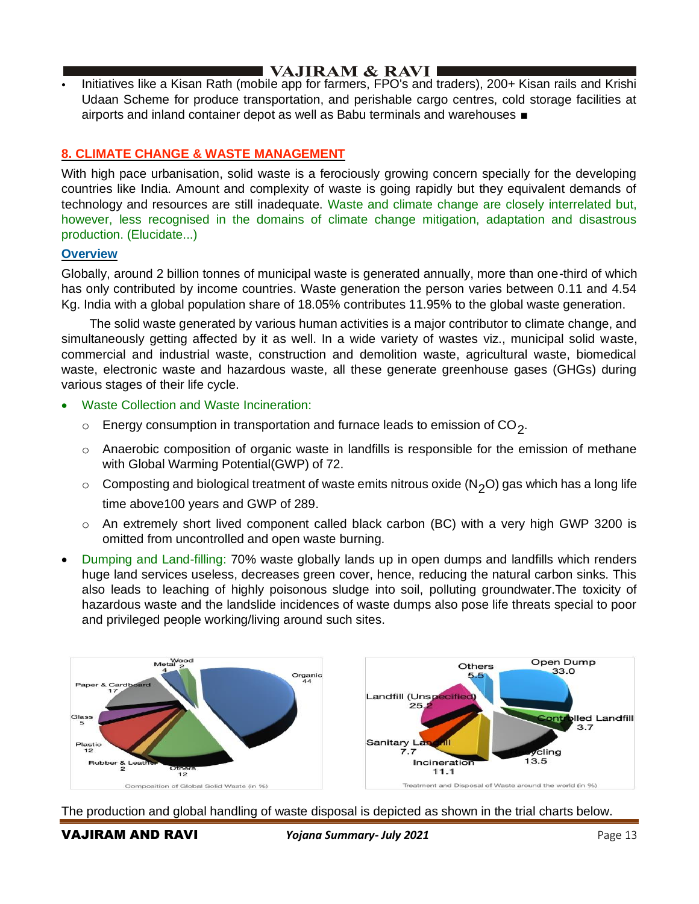• Initiatives like a Kisan Rath (mobile app for farmers, FPO's and traders), 200+ Kisan rails and Krishi Udaan Scheme for produce transportation, and perishable cargo centres, cold storage facilities at airports and inland container depot as well as Babu terminals and warehouses ■

## **8. CLIMATE CHANGE & WASTE MANAGEMENT**

With high pace urbanisation, solid waste is a ferociously growing concern specially for the developing countries like India. Amount and complexity of waste is going rapidly but they equivalent demands of technology and resources are still inadequate. Waste and climate change are closely interrelated but, however, less recognised in the domains of climate change mitigation, adaptation and disastrous production. (Elucidate...)

### **Overview**

Globally, around 2 billion tonnes of municipal waste is generated annually, more than one-third of which has only contributed by income countries. Waste generation the person varies between 0.11 and 4.54 Kg. India with a global population share of 18.05% contributes 11.95% to the global waste generation.

 The solid waste generated by various human activities is a major contributor to climate change, and simultaneously getting affected by it as well. In a wide variety of wastes viz., municipal solid waste, commercial and industrial waste, construction and demolition waste, agricultural waste, biomedical waste, electronic waste and hazardous waste, all these generate greenhouse gases (GHGs) during various stages of their life cycle.

- Waste Collection and Waste Incineration:
	- $\circ$  Energy consumption in transportation and furnace leads to emission of CO<sub>2</sub>.
	- o Anaerobic composition of organic waste in landfills is responsible for the emission of methane with Global Warming Potential(GWP) of 72.
	- $\circ$  Composting and biological treatment of waste emits nitrous oxide (N<sub>2</sub>O) gas which has a long life time above100 years and GWP of 289.
	- $\circ$  An extremely short lived component called black carbon (BC) with a very high GWP 3200 is omitted from uncontrolled and open waste burning.
- Dumping and Land-filling: 70% waste globally lands up in open dumps and landfills which renders huge land services useless, decreases green cover, hence, reducing the natural carbon sinks. This also leads to leaching of highly poisonous sludge into soil, polluting groundwater.The toxicity of hazardous waste and the landslide incidences of waste dumps also pose life threats special to poor and privileged people working/living around such sites.



The production and global handling of waste disposal is depicted as shown in the trial charts below.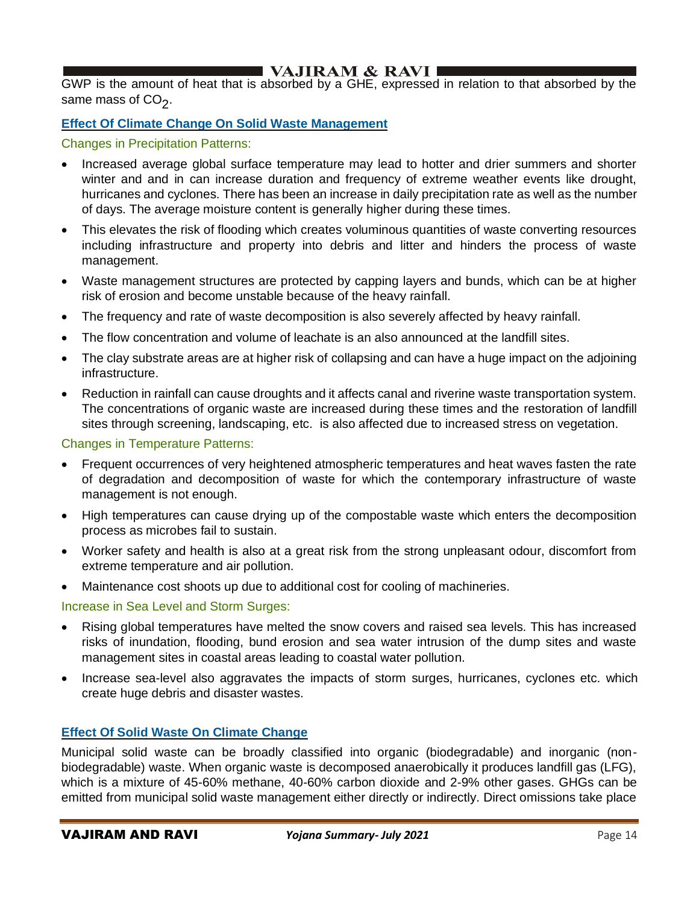GWP is the amount of heat that is absorbed by a GHE, expressed in relation to that absorbed by the same mass of CO<sub>2</sub>.

## **Effect Of Climate Change On Solid Waste Management**

### Changes in Precipitation Patterns:

- Increased average global surface temperature may lead to hotter and drier summers and shorter winter and and in can increase duration and frequency of extreme weather events like drought, hurricanes and cyclones. There has been an increase in daily precipitation rate as well as the number of days. The average moisture content is generally higher during these times.
- This elevates the risk of flooding which creates voluminous quantities of waste converting resources including infrastructure and property into debris and litter and hinders the process of waste management.
- Waste management structures are protected by capping layers and bunds, which can be at higher risk of erosion and become unstable because of the heavy rainfall.
- The frequency and rate of waste decomposition is also severely affected by heavy rainfall.
- The flow concentration and volume of leachate is an also announced at the landfill sites.
- The clay substrate areas are at higher risk of collapsing and can have a huge impact on the adjoining infrastructure.
- Reduction in rainfall can cause droughts and it affects canal and riverine waste transportation system. The concentrations of organic waste are increased during these times and the restoration of landfill sites through screening, landscaping, etc. is also affected due to increased stress on vegetation.

### Changes in Temperature Patterns:

- Frequent occurrences of very heightened atmospheric temperatures and heat waves fasten the rate of degradation and decomposition of waste for which the contemporary infrastructure of waste management is not enough.
- High temperatures can cause drying up of the compostable waste which enters the decomposition process as microbes fail to sustain.
- Worker safety and health is also at a great risk from the strong unpleasant odour, discomfort from extreme temperature and air pollution.
- Maintenance cost shoots up due to additional cost for cooling of machineries.

#### Increase in Sea Level and Storm Surges:

- Rising global temperatures have melted the snow covers and raised sea levels. This has increased risks of inundation, flooding, bund erosion and sea water intrusion of the dump sites and waste management sites in coastal areas leading to coastal water pollution.
- Increase sea-level also aggravates the impacts of storm surges, hurricanes, cyclones etc. which create huge debris and disaster wastes.

## **Effect Of Solid Waste On Climate Change**

Municipal solid waste can be broadly classified into organic (biodegradable) and inorganic (nonbiodegradable) waste. When organic waste is decomposed anaerobically it produces landfill gas (LFG), which is a mixture of 45-60% methane, 40-60% carbon dioxide and 2-9% other gases. GHGs can be emitted from municipal solid waste management either directly or indirectly. Direct omissions take place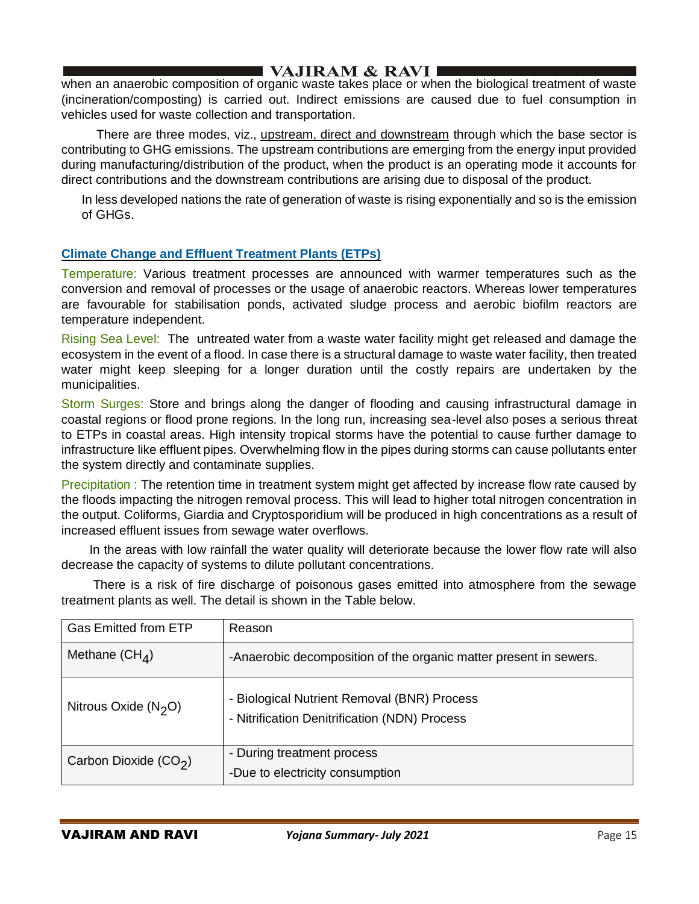when an anaerobic composition of organic waste takes place or when the biological treatment of waste (incineration/composting) is carried out. Indirect emissions are caused due to fuel consumption in vehicles used for waste collection and transportation.

 There are three modes, viz., upstream, direct and downstream through which the base sector is contributing to GHG emissions. The upstream contributions are emerging from the energy input provided during manufacturing/distribution of the product, when the product is an operating mode it accounts for direct contributions and the downstream contributions are arising due to disposal of the product.

In less developed nations the rate of generation of waste is rising exponentially and so is the emission of GHGs.

## **Climate Change and Effluent Treatment Plants (ETPs)**

Temperature: Various treatment processes are announced with warmer temperatures such as the conversion and removal of processes or the usage of anaerobic reactors. Whereas lower temperatures are favourable for stabilisation ponds, activated sludge process and aerobic biofilm reactors are temperature independent.

Rising Sea Level: The untreated water from a waste water facility might get released and damage the ecosystem in the event of a flood. In case there is a structural damage to waste water facility, then treated water might keep sleeping for a longer duration until the costly repairs are undertaken by the municipalities.

Storm Surges: Store and brings along the danger of flooding and causing infrastructural damage in coastal regions or flood prone regions. In the long run, increasing sea-level also poses a serious threat to ETPs in coastal areas. High intensity tropical storms have the potential to cause further damage to infrastructure like effluent pipes. Overwhelming flow in the pipes during storms can cause pollutants enter the system directly and contaminate supplies.

Precipitation : The retention time in treatment system might get affected by increase flow rate caused by the floods impacting the nitrogen removal process. This will lead to higher total nitrogen concentration in the output. Coliforms, Giardia and Cryptosporidium will be produced in high concentrations as a result of increased effluent issues from sewage water overflows.

 In the areas with low rainfall the water quality will deteriorate because the lower flow rate will also decrease the capacity of systems to dilute pollutant concentrations.

 There is a risk of fire discharge of poisonous gases emitted into atmosphere from the sewage treatment plants as well. The detail is shown in the Table below.

| <b>Gas Emitted from ETP</b> | Reason                                                                                       |
|-----------------------------|----------------------------------------------------------------------------------------------|
| Methane $(CH_4)$            | -Anaerobic decomposition of the organic matter present in sewers.                            |
| Nitrous Oxide $(N_2O)$      | - Biological Nutrient Removal (BNR) Process<br>- Nitrification Denitrification (NDN) Process |
| Carbon Dioxide $(CO2)$      | - During treatment process<br>-Due to electricity consumption                                |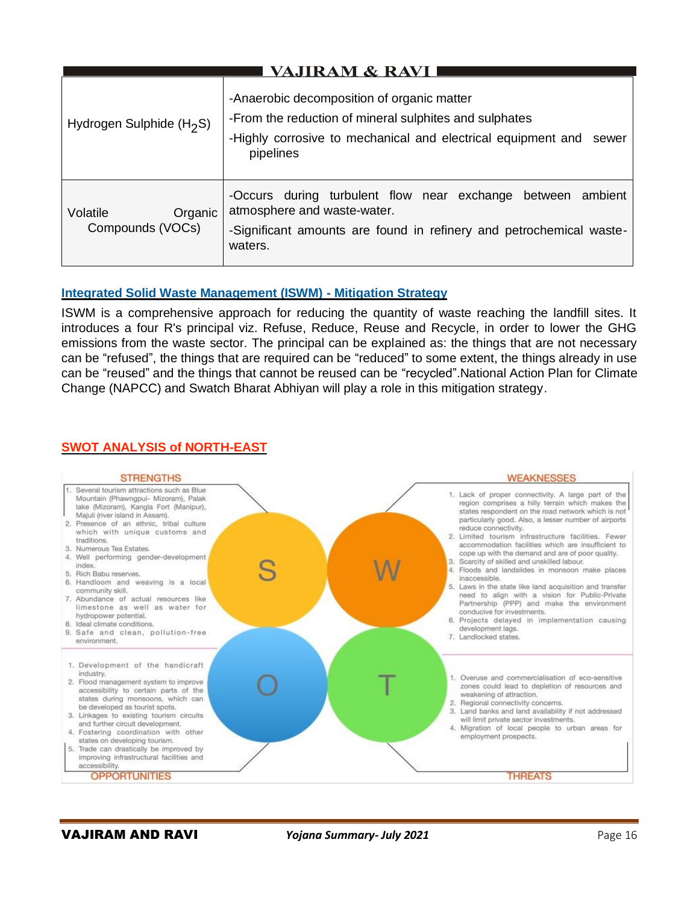| VAJIRAM & RAVI                          |                                                                                                                                                                                            |
|-----------------------------------------|--------------------------------------------------------------------------------------------------------------------------------------------------------------------------------------------|
| Hydrogen Sulphide $(H_2S)$              | -Anaerobic decomposition of organic matter<br>-From the reduction of mineral sulphites and sulphates<br>-Highly corrosive to mechanical and electrical equipment and<br>sewer<br>pipelines |
| Volatile<br>Organic<br>Compounds (VOCs) | -Occurs during turbulent flow near exchange between<br>ambient<br>atmosphere and waste-water.<br>-Significant amounts are found in refinery and petrochemical waste-<br>waters.            |

## **Integrated Solid Waste Management (ISWM) - Mitigation Strategy**

ISWM is a comprehensive approach for reducing the quantity of waste reaching the landfill sites. It introduces a four R's principal viz. Refuse, Reduce, Reuse and Recycle, in order to lower the GHG emissions from the waste sector. The principal can be explained as: the things that are not necessary can be "refused", the things that are required can be "reduced" to some extent, the things already in use can be "reused" and the things that cannot be reused can be "recycled".National Action Plan for Climate Change (NAPCC) and Swatch Bharat Abhiyan will play a role in this mitigation strategy.

## **SWOT ANALYSIS of NORTH-EAST**

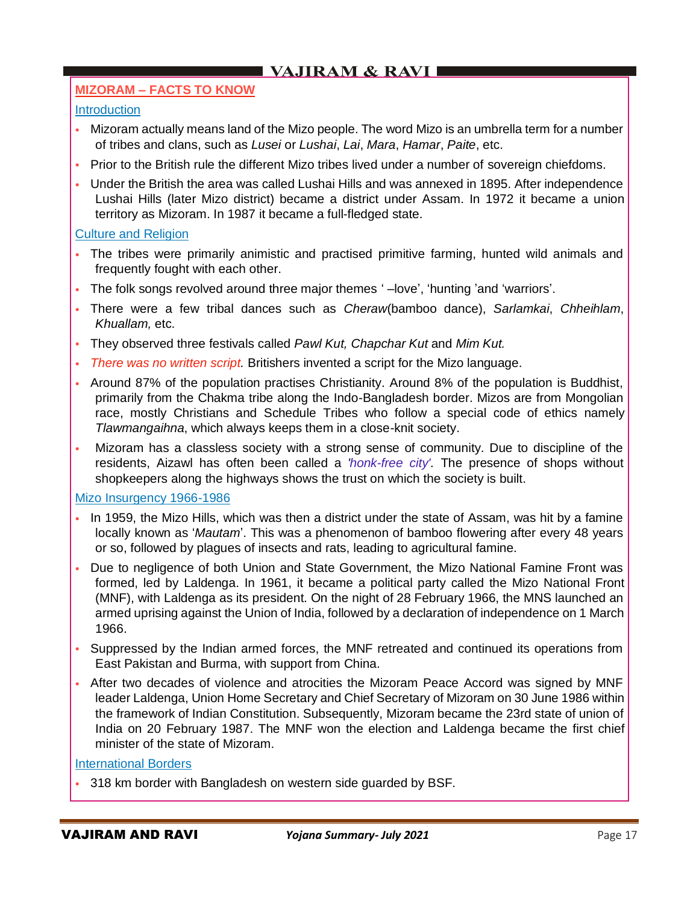## **MIZORAM – FACTS TO KNOW**

## **Introduction**

- Mizoram actually means land of the Mizo people. The word Mizo is an umbrella term for a number of tribes and clans, such as *Lusei* or *Lushai*, *Lai*, *Mara*, *Hamar*, *Paite*, etc.
- Prior to the British rule the different Mizo tribes lived under a number of sovereign chiefdoms.
- Under the British the area was called Lushai Hills and was annexed in 1895. After independence Lushai Hills (later Mizo district) became a district under Assam. In 1972 it became a union territory as Mizoram. In 1987 it became a full-fledged state.

### Culture and Religion

- The tribes were primarily animistic and practised primitive farming, hunted wild animals and frequently fought with each other.
- The folk songs revolved around three major themes ' –love', 'hunting 'and 'warriors'.
- There were a few tribal dances such as *Cheraw*(bamboo dance), *Sarlamkai*, *Chheihlam*, *Khuallam,* etc.
- They observed three festivals called *Pawl Kut, Chapchar Kut* and *Mim Kut.*
- *There was no written script.* Britishers invented a script for the Mizo language.
- Around 87% of the population practises Christianity. Around 8% of the population is Buddhist, primarily from the Chakma tribe along the Indo-Bangladesh border. Mizos are from Mongolian race, mostly Christians and Schedule Tribes who follow a special code of ethics namely *Tlawmangaihna*, which always keeps them in a close-knit society.
- Mizoram has a classless society with a strong sense of community. Due to discipline of the residents, Aizawl has often been called a *'honk-free city'.* The presence of shops without shopkeepers along the highways shows the trust on which the society is built.

#### Mizo Insurgency 1966-1986

- In 1959, the Mizo Hills, which was then a district under the state of Assam, was hit by a famine locally known as '*Mautam*'. This was a phenomenon of bamboo flowering after every 48 years or so, followed by plagues of insects and rats, leading to agricultural famine.
- Due to negligence of both Union and State Government, the Mizo National Famine Front was formed, led by Laldenga. In 1961, it became a political party called the Mizo National Front (MNF), with Laldenga as its president. On the night of 28 February 1966, the MNS launched an armed uprising against the Union of India, followed by a declaration of independence on 1 March 1966.
- Suppressed by the Indian armed forces, the MNF retreated and continued its operations from East Pakistan and Burma, with support from China.
- After two decades of violence and atrocities the Mizoram Peace Accord was signed by MNF leader Laldenga, Union Home Secretary and Chief Secretary of Mizoram on 30 June 1986 within the framework of Indian Constitution. Subsequently, Mizoram became the 23rd state of union of India on 20 February 1987. The MNF won the election and Laldenga became the first chief minister of the state of Mizoram.

## International Borders

• 318 km border with Bangladesh on western side guarded by BSF.